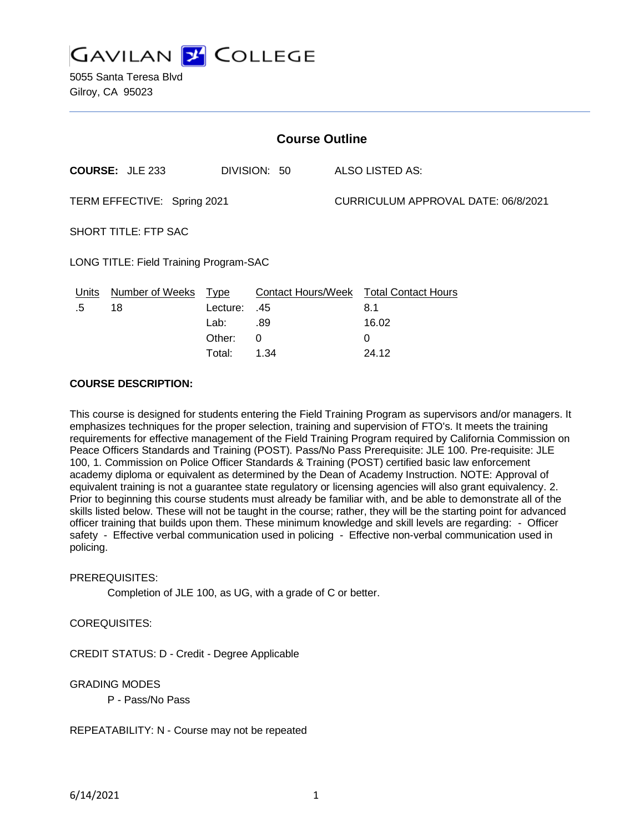**GAVILAN Y COLLEGE** 

5055 Santa Teresa Blvd Gilroy, CA 95023

| <b>Course Outline</b>                  |                              |                         |                           |                                     |                                   |
|----------------------------------------|------------------------------|-------------------------|---------------------------|-------------------------------------|-----------------------------------|
|                                        | <b>COURSE: JLE 233</b>       |                         | DIVISION: 50              |                                     | ALSO LISTED AS:                   |
| TERM EFFECTIVE: Spring 2021            |                              |                         |                           | CURRICULUM APPROVAL DATE: 06/8/2021 |                                   |
| <b>SHORT TITLE: FTP SAC</b>            |                              |                         |                           |                                     |                                   |
| LONG TITLE: Field Training Program-SAC |                              |                         |                           |                                     |                                   |
| <u>Units</u><br>.5                     | <b>Number of Weeks</b><br>18 | <b>Type</b><br>Lecture: | Contact Hours/Week<br>.45 |                                     | <b>Total Contact Hours</b><br>8.1 |
|                                        |                              | Lab:                    | .89                       |                                     | 16.02                             |
|                                        |                              | Other:                  | 0                         |                                     | 0                                 |

Total: 1.34 24.12

#### **COURSE DESCRIPTION:**

This course is designed for students entering the Field Training Program as supervisors and/or managers. It emphasizes techniques for the proper selection, training and supervision of FTO's. It meets the training requirements for effective management of the Field Training Program required by California Commission on Peace Officers Standards and Training (POST). Pass/No Pass Prerequisite: JLE 100. Pre-requisite: JLE 100, 1. Commission on Police Officer Standards & Training (POST) certified basic law enforcement academy diploma or equivalent as determined by the Dean of Academy Instruction. NOTE: Approval of equivalent training is not a guarantee state regulatory or licensing agencies will also grant equivalency. 2. Prior to beginning this course students must already be familiar with, and be able to demonstrate all of the skills listed below. These will not be taught in the course; rather, they will be the starting point for advanced officer training that builds upon them. These minimum knowledge and skill levels are regarding: - Officer safety - Effective verbal communication used in policing - Effective non-verbal communication used in policing.

#### PREREQUISITES:

Completion of JLE 100, as UG, with a grade of C or better.

## COREQUISITES:

CREDIT STATUS: D - Credit - Degree Applicable

#### GRADING MODES

P - Pass/No Pass

REPEATABILITY: N - Course may not be repeated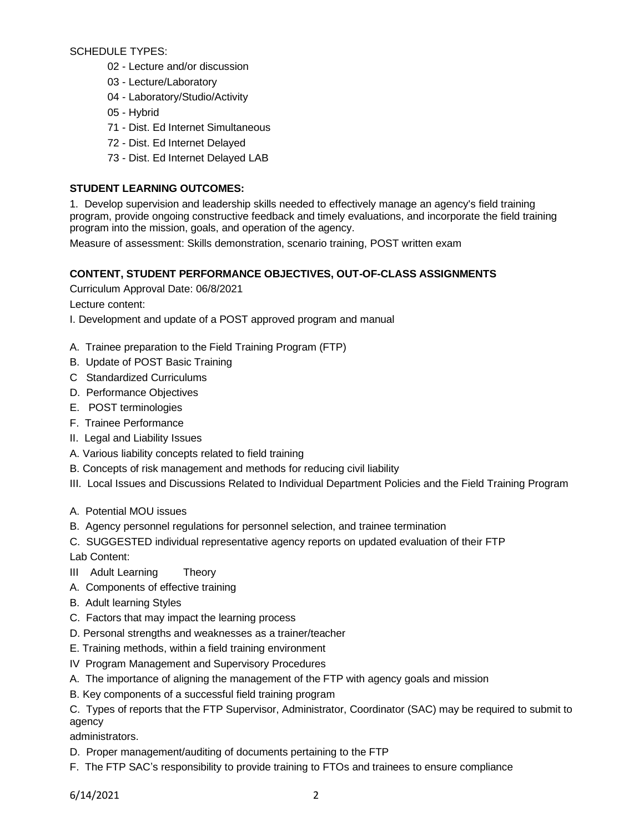SCHEDULE TYPES:

- 02 Lecture and/or discussion
- 03 Lecture/Laboratory
- 04 Laboratory/Studio/Activity
- 05 Hybrid
- 71 Dist. Ed Internet Simultaneous
- 72 Dist. Ed Internet Delayed
- 73 Dist. Ed Internet Delayed LAB

# **STUDENT LEARNING OUTCOMES:**

1. Develop supervision and leadership skills needed to effectively manage an agency's field training program, provide ongoing constructive feedback and timely evaluations, and incorporate the field training program into the mission, goals, and operation of the agency.

Measure of assessment: Skills demonstration, scenario training, POST written exam

# **CONTENT, STUDENT PERFORMANCE OBJECTIVES, OUT-OF-CLASS ASSIGNMENTS**

Curriculum Approval Date: 06/8/2021

Lecture content:

I. Development and update of a POST approved program and manual

- A. Trainee preparation to the Field Training Program (FTP)
- B. Update of POST Basic Training
- C Standardized Curriculums
- D. Performance Objectives
- E. POST terminologies
- F. Trainee Performance
- II. Legal and Liability Issues
- A. Various liability concepts related to field training
- B. Concepts of risk management and methods for reducing civil liability
- III. Local Issues and Discussions Related to Individual Department Policies and the Field Training Program
- A. Potential MOU issues
- B. Agency personnel regulations for personnel selection, and trainee termination
- C. SUGGESTED individual representative agency reports on updated evaluation of their FTP

Lab Content:

- III Adult Learning Theory
- A. Components of effective training
- B. Adult learning Styles
- C. Factors that may impact the learning process
- D. Personal strengths and weaknesses as a trainer/teacher
- E. Training methods, within a field training environment
- IV Program Management and Supervisory Procedures
- A. The importance of aligning the management of the FTP with agency goals and mission
- B. Key components of a successful field training program

C. Types of reports that the FTP Supervisor, Administrator, Coordinator (SAC) may be required to submit to agency

administrators.

- D. Proper management/auditing of documents pertaining to the FTP
- F. The FTP SAC's responsibility to provide training to FTOs and trainees to ensure compliance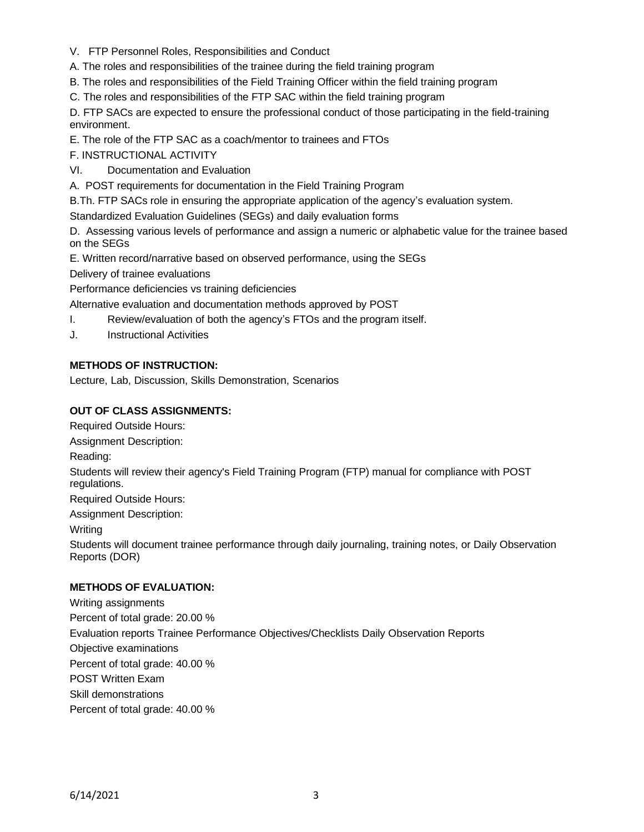V. FTP Personnel Roles, Responsibilities and Conduct

A. The roles and responsibilities of the trainee during the field training program

B. The roles and responsibilities of the Field Training Officer within the field training program

C. The roles and responsibilities of the FTP SAC within the field training program

D. FTP SACs are expected to ensure the professional conduct of those participating in the field-training environment.

E. The role of the FTP SAC as a coach/mentor to trainees and FTOs

F. INSTRUCTIONAL ACTIVITY

VI. Documentation and Evaluation

A. POST requirements for documentation in the Field Training Program

B.Th. FTP SACs role in ensuring the appropriate application of the agency's evaluation system.

Standardized Evaluation Guidelines (SEGs) and daily evaluation forms

D. Assessing various levels of performance and assign a numeric or alphabetic value for the trainee based on the SEGs

E. Written record/narrative based on observed performance, using the SEGs

Delivery of trainee evaluations

Performance deficiencies vs training deficiencies

Alternative evaluation and documentation methods approved by POST

- I. Review/evaluation of both the agency's FTOs and the program itself.
- J. Instructional Activities

# **METHODS OF INSTRUCTION:**

Lecture, Lab, Discussion, Skills Demonstration, Scenarios

# **OUT OF CLASS ASSIGNMENTS:**

Required Outside Hours: Assignment Description: Reading: Students will review their agency's Field Training Program (FTP) manual for compliance with POST regulations. Required Outside Hours: Assignment Description:

Writing

Students will document trainee performance through daily journaling, training notes, or Daily Observation Reports (DOR)

# **METHODS OF EVALUATION:**

Writing assignments Percent of total grade: 20.00 % Evaluation reports Trainee Performance Objectives/Checklists Daily Observation Reports Objective examinations Percent of total grade: 40.00 % POST Written Exam Skill demonstrations Percent of total grade: 40.00 %